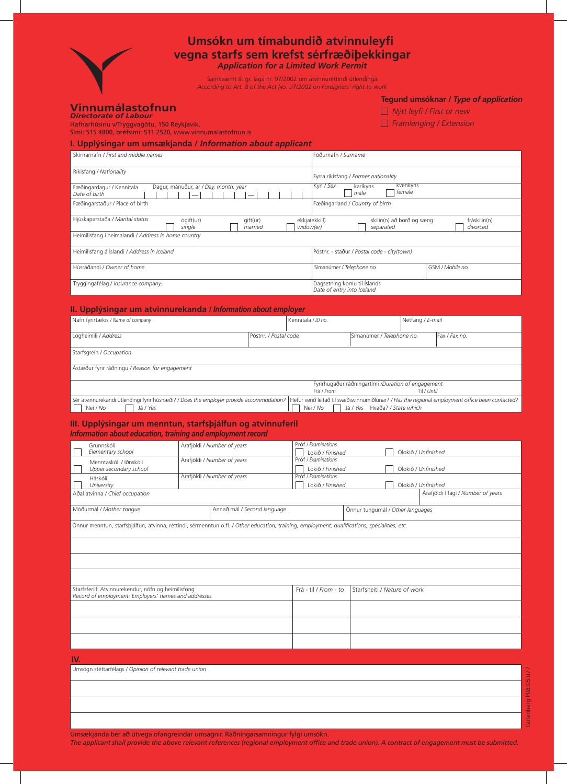

# **Umsókn um tímabundið atvinnuleyfi vegna starfs sem krefst sérfræðiþekkingar**

*Application for a Limited Work Permit*

Samkvæmt 8. gr. laga nr. 97/2002 um atvinnuréttindi útlendinga *According to Art. 8 of the Act No. 97/2002 on Foreigners' right to work*

#### **Vinnumálastofnun** *Directorate of Labour*

Hafnarhúsinu v/Tryggvagötu, 150 Reykjavík,

# **Tegund umsóknar /** *Type of application*

 *Nýtt leyfi / First or new*

 *Framlenging / Extension*

| Sími: 515 4800, bréfsími: 511 2520, www.vinnumalastofnun.is |                                                                                                                 |
|-------------------------------------------------------------|-----------------------------------------------------------------------------------------------------------------|
|                                                             | and a market of the component of the contract of the contract of the contract of the contract of the contract o |

## Skírnarnafn */ First and middle names* Föðurnafn */ Surname* **I. Upplýsingar um umsækjanda /** *Information about applicant*

| Ríkisfang / Nationality                                                                                     | Fyrra ríkisfang / Former nationality                               |  |  |  |  |
|-------------------------------------------------------------------------------------------------------------|--------------------------------------------------------------------|--|--|--|--|
| Dagur, mánuður, ár / Day, month, year<br>Fæðingardagur / Kennitala<br>Date of birth                         | Kyn / Sex<br>kvenkyns<br>karlkyns<br>female<br>male                |  |  |  |  |
| Fæðingarstaður / Place of birth                                                                             | Fæðingarland / Country of birth                                    |  |  |  |  |
| Hjúskaparstaða / Marital status<br>ógift(ur)<br>gift(ur)<br>ekkja(ekkill)<br>widow(er)<br>married<br>single | skilin(n) að borð og sæng<br>fráskilin(n)<br>divorced<br>separated |  |  |  |  |
| Heimilisfang í heimalandi / Address in home country                                                         |                                                                    |  |  |  |  |
| Heimilisfang á Íslandi / Address in Iceland                                                                 | Póstnr. - staður / Postal code - city(town)                        |  |  |  |  |
| Húsráðandi / Owner of home                                                                                  | Símanúmer / Telephone no.<br>GSM / Mobile no.                      |  |  |  |  |
| Tryggingafélag / Insurance company:                                                                         | Dagsetning komu til Íslands<br>Date of entry into Iceland          |  |  |  |  |

# **II. Upplýsingar um atvinnurekanda /** *Information about employer*

| Nafn fyrirtækis / Name of company                                                       |                       | Kennitala / ID no. |                                                    | Netfang / E-mail |                                                                                                  |
|-----------------------------------------------------------------------------------------|-----------------------|--------------------|----------------------------------------------------|------------------|--------------------------------------------------------------------------------------------------|
| Lögheimili / Address                                                                    | Póstnr. / Postal code |                    | Símanúmer / Telephone no.                          |                  | Fax / Fax no.                                                                                    |
| Starfsgrein / Occupation                                                                |                       |                    |                                                    |                  |                                                                                                  |
| Ástæður fyrir ráðningu / Reason for engagement                                          |                       |                    |                                                    |                  |                                                                                                  |
|                                                                                         |                       |                    | Fyrirhugaður ráðningartími /Duration of engagement |                  |                                                                                                  |
|                                                                                         |                       | Frá / From         |                                                    | Til / Until      |                                                                                                  |
| Sér atvinnurekandi útlendingi fyrir húsnæði? / Does the employer provide accommodation? |                       |                    |                                                    |                  | Hefur verið leitað til svæðisvinnumiðlunar? / Has the regional employment office been contacted? |
| Nei / No<br>Já / Yes                                                                    |                       | Nei / No           | Hvaða? / State which<br>Já / Yes                   |                  |                                                                                                  |

## **III. Upplýsingar um menntun, starfsþjálfun og atvinnuferil**  *Information about education, training and employment record*

|     | Grunnskóli<br>Elementary school                                                                                                               |                             | Árafjöldi / Number of years |                                  | Próf / Examinations<br>Lokið / Finished |                              |  |  | Ólokið / Unfinished                |
|-----|-----------------------------------------------------------------------------------------------------------------------------------------------|-----------------------------|-----------------------------|----------------------------------|-----------------------------------------|------------------------------|--|--|------------------------------------|
|     | Menntaskóli / Iðnskóli<br>Upper secondary school                                                                                              | Árafjöldi / Number of years |                             |                                  | Próf / Examinations<br>Lokið / Finished |                              |  |  | Ólokið / Unfinished                |
|     | Háskóli<br>University                                                                                                                         |                             | Árafjöldi / Number of years |                                  | Próf / Examinations<br>Lokið / Finished |                              |  |  | Ólokið / Unfinished                |
|     | Aðal atvinna / Chief occupation                                                                                                               |                             |                             |                                  |                                         |                              |  |  | Árafjöldi í fagi / Number of years |
|     | Móðurmál / Mother tonque                                                                                                                      |                             | Annað mál / Second language | Önnur tungumál / Other languages |                                         |                              |  |  |                                    |
|     | Önnur menntun, starfsbiálfun, atvinna, réttindi, sérmenntun o.fl. / Other education, training, employment, qualifications, specialities, etc. |                             |                             |                                  |                                         |                              |  |  |                                    |
|     |                                                                                                                                               |                             |                             |                                  |                                         |                              |  |  |                                    |
|     |                                                                                                                                               |                             |                             |                                  |                                         |                              |  |  |                                    |
|     |                                                                                                                                               |                             |                             |                                  |                                         |                              |  |  |                                    |
|     | Starfsferill: Atvinnurekendur, nöfn og heimilisföng<br>Record of employment: Employers' names and addresses                                   |                             |                             |                                  | Frá - til / From - to                   | Starfsheiti / Nature of work |  |  |                                    |
|     |                                                                                                                                               |                             |                             |                                  |                                         |                              |  |  |                                    |
|     |                                                                                                                                               |                             |                             |                                  |                                         |                              |  |  |                                    |
|     |                                                                                                                                               |                             |                             |                                  |                                         |                              |  |  |                                    |
| IV. |                                                                                                                                               |                             |                             |                                  |                                         |                              |  |  |                                    |
|     | Umsögn stéttarfélags / Opinion of relevant trade union                                                                                        |                             |                             |                                  |                                         |                              |  |  |                                    |
|     |                                                                                                                                               |                             |                             |                                  |                                         |                              |  |  |                                    |

Umsækjanda ber að útvega ofangreindar umsagnir. Ráðningarsamningur fylgi umsókn.

*The applicant shall provide the above relevant references (regional employment office and trade union). A contract of engagement must be submitted.*